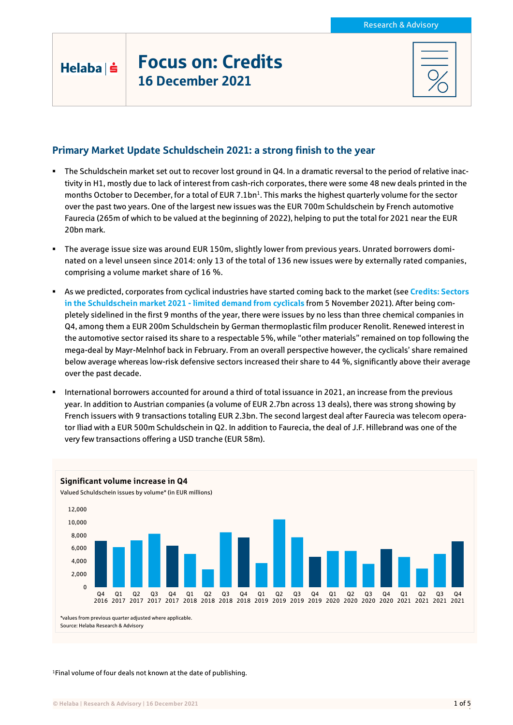## Helaba | s

# Focus on: Credits 16 December 2021

## Primary Market Update Schuldschein 2021: a strong finish to the year

- The Schuldschein market set out to recover lost ground in Q4. In a dramatic reversal to the period of relative inactivity in H1, mostly due to lack of interest from cash-rich corporates, there were some 48 new deals printed in the months October to December, for a total of EUR 7.1bn<sup>1</sup>. This marks the highest quarterly volume for the sector over the past two years. One of the largest new issues was the EUR 700m Schuldschein by French automotive Faurecia (265m of which to be valued at the beginning of 2022), helping to put the total for 2021 near the EUR 20bn mark.
- The average issue size was around EUR 150m, slightly lower from previous years. Unrated borrowers dominated on a level unseen since 2014: only 13 of the total of 136 new issues were by externally rated companies, comprising a volume market share of 16 %.
- As we predicted, corporates from cyclical industries have started coming back to the market (see **[Credits: Sectors](https://www.helaba.de/blueprint/servlet/resource/blob/docs/571948/5c5a5131e72e38c115502763ba34a605/cs-20211105-2-en-data.pdf)  [in the Schuldschein market 2021 -](https://www.helaba.de/blueprint/servlet/resource/blob/docs/571948/5c5a5131e72e38c115502763ba34a605/cs-20211105-2-en-data.pdf) limited demand from cyclicals** from 5 November 2021). After being completely sidelined in the first 9 months of the year, there were issues by no less than three chemical companies in Q4, among them a EUR 200m Schuldschein by German thermoplastic film producer Renolit. Renewed interest in the automotive sector raised its share to a respectable 5%, while "other materials" remained on top following the mega-deal by Mayr-Melnhof back in February. From an overall perspective however, the cyclicals' share remained below average whereas low-risk defensive sectors increased their share to 44 %, significantly above their average over the past decade.
- International borrowers accounted for around a third of total issuance in 2021, an increase from the previous year. In addition to Austrian companies (a volume of EUR 2.7bn across 13 deals), there was strong showing by French issuers with 9 transactions totaling EUR 2.3bn. The second largest deal after Faurecia was telecom operator Iliad with a EUR 500m Schuldschein in Q2. In addition to Faurecia, the deal of J.F. Hillebrand was one of the very few transactions offering a USD tranche (EUR 58m).



<sup>1</sup>Final volume of four deals not known at the date of publishing.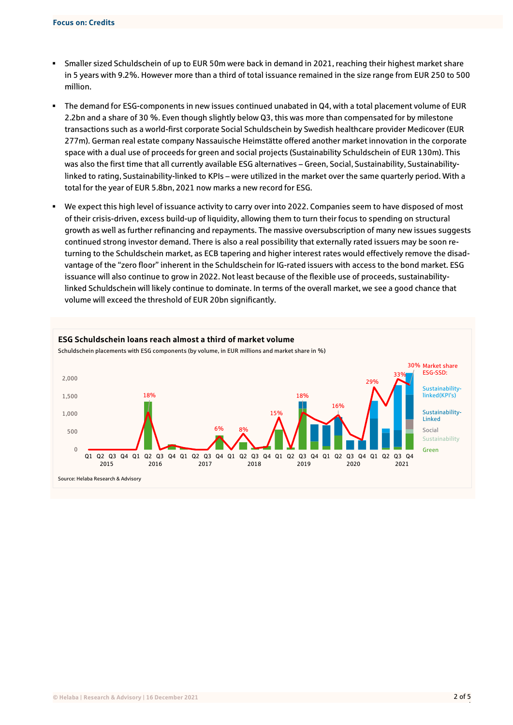- Smaller sized Schuldschein of up to EUR 50m were back in demand in 2021, reaching their highest market share in 5 years with 9.2%. However more than a third of total issuance remained in the size range from EUR 250 to 500 million.
- The demand for ESG-components in new issues continued unabated in Q4, with a total placement volume of EUR 2.2bn and a share of 30 %. Even though slightly below Q3, this was more than compensated for by milestone transactions such as a world-first corporate Social Schuldschein by Swedish healthcare provider Medicover (EUR 277m). German real estate company Nassauische Heimstätte offered another market innovation in the corporate space with a dual use of proceeds for green and social projects (Sustainability Schuldschein of EUR 130m). This was also the first time that all currently available ESG alternatives – Green, Social, Sustainability, Sustainabilitylinked to rating, Sustainability-linked to KPIs – were utilized in the market over the same quarterly period. With a total for the year of EUR 5.8bn, 2021 now marks a new record for ESG.
- We expect this high level of issuance activity to carry over into 2022. Companies seem to have disposed of most of their crisis-driven, excess build-up of liquidity, allowing them to turn their focus to spending on structural growth as well as further refinancing and repayments. The massive oversubscription of many new issues suggests continued strong investor demand. There is also a real possibility that externally rated issuers may be soon returning to the Schuldschein market, as ECB tapering and higher interest rates would effectively remove the disadvantage of the "zero floor" inherent in the Schuldschein for IG-rated issuers with access to the bond market. ESG issuance will also continue to grow in 2022. Not least because of the flexible use of proceeds, sustainabilitylinked Schuldschein will likely continue to dominate. In terms of the overall market, we see a good chance that volume will exceed the threshold of EUR 20bn significantly.

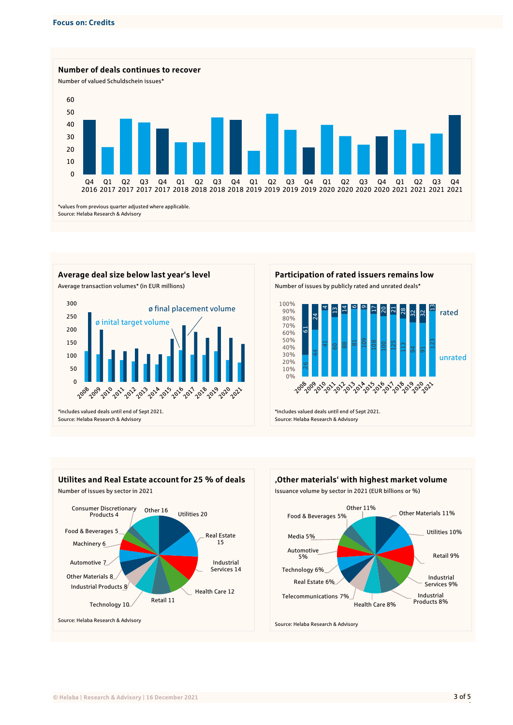







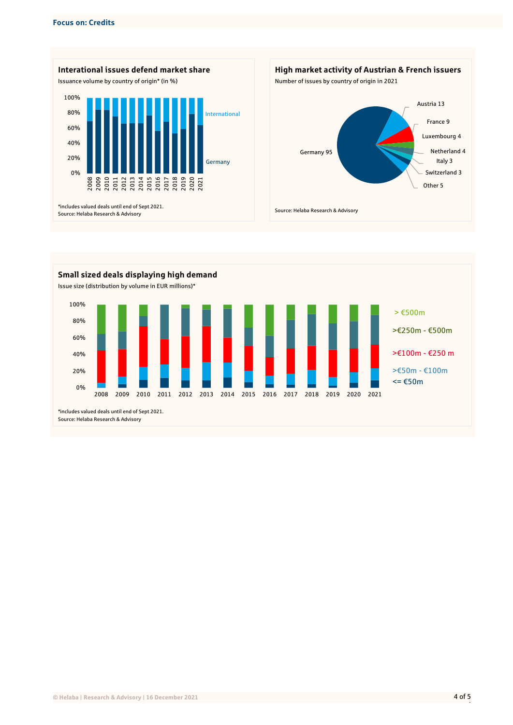





|